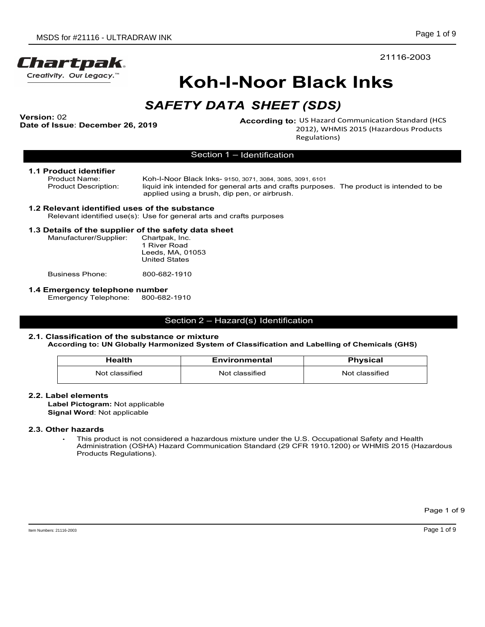

# Koh-I-Noor Black Inks

Version: 02<br>Date of Issue: December 26, 2019

According to: US Hazard Communication Standard (HCS<br>2012), WHMIS 2015 (Hazardous Products Page 1 of 9<br>
21116-2003<br> **Black Inks**<br> **CSDS**<br>
US Hazard Communication Standard (HCS<br>
2012), WHMIS 2015 (Hazardous Products<br>
Regulations)<br>
<sup>3091, 6101<br>
<sup>3091, 6101</sup></sup> Regulations)

**1.1 Product identifier**<br>Product Name: **Moh-I-Noor Black Inks- 9150, 3071, 3084, 3085**, 3091, 6101 Page 1 of 9<br>
Page 1 of 9<br>
Page 1 of 9<br>
Page 1 of 9<br>
Page 1 of 9<br>
Page 1 of 9<br>
Page 1 of 9<br>
21116-2003<br>
KOh-I-Noor Black Inks<br>
SAFETY DATA SHEET (SDS)<br>
According to: US Hazard Communication Standard (HCS<br>
Fissue: December Product Name:<br>
Product Description: liguid in the substant of the safety DATA SHEET (Sharp)<br>
Product Description: liguid in the product Description: ligand to the product is intended (HCS<br>
Product Name: ligand to the produ liquid ink intended for general arts and crafts purposes. The product is intended to be applied using a brush, dip pen, or airbrush. DS for #21116 - ULTRADRAW INK<br>
WHY, Our Legacy.<sup>..</sup><br> **KOH-I-NOOT BIACK INKS**<br>
SAFETY DATA SHEET (SDS)<br>
1: 02<br>
ISSUE: DGENERAL ARTES (SUSERVIERT (SDS)<br>
According to: US Hazard Communication Star<br>
2012), WHMIS 2015 (Hazardou Page 1 of 9<br>
21116-2003<br> **Section 1 – Noor Black Inks**<br>
Section 1 – Identification<br>
According to: US Hazard Communication Standard (HCS<br>
Regulations)<br>
Section 1 – Identification<br>
ack Inks- 9150, 3071, 3084, 3085, 3091, 610 According to: US Hazard Communication Standard (HCS<br>
2012), WHMIS 2015 (Hazardous Products<br>
Section 1 – Identification<br>
Noor Biack Inte- stso, 3071, 3085, 3091, 501<br>
Noor Biack Inte- stso, 3071, 3085, 3091, 501<br>
In this in

### 1.2 Relevant identified uses of the substance

### 1.3 Details of the supplier of the safety data sheet

| SDS for #21116 - ULTRADRAW INK                                                                                    |                                                                            |                                                           | Page                                                                                                      |  |
|-------------------------------------------------------------------------------------------------------------------|----------------------------------------------------------------------------|-----------------------------------------------------------|-----------------------------------------------------------------------------------------------------------|--|
| artpak.                                                                                                           |                                                                            |                                                           | 21116-2003                                                                                                |  |
| tivity. Our Legacy. <sup>"</sup>                                                                                  |                                                                            | Koh-I-Noor Black Inks                                     |                                                                                                           |  |
|                                                                                                                   |                                                                            | <b>SAFETY DATA SHEET (SDS)</b>                            |                                                                                                           |  |
| n: 02<br>of Issue: December 26, 2019                                                                              |                                                                            |                                                           | According to: US Hazard Communication Standard (H<br>2012), WHMIS 2015 (Hazardous Product<br>Regulations) |  |
|                                                                                                                   |                                                                            | Section 1 - Identification                                |                                                                                                           |  |
| Product identifier<br><b>Product Name:</b><br><b>Product Description:</b>                                         | applied using a brush, dip pen, or airbrush.                               | Koh-I-Noor Black Inks- 9150, 3071, 3084, 3085, 3091, 6101 | liquid ink intended for general arts and crafts purposes. The product is intended to b                    |  |
| Relevant identified uses of the substance<br>Relevant identified use(s): Use for general arts and crafts purposes |                                                                            |                                                           |                                                                                                           |  |
| Details of the supplier of the safety data sheet<br>Manufacturer/Supplier:                                        | Chartpak, Inc.<br>1 River Road<br>Leeds, MA, 01053<br><b>United States</b> |                                                           |                                                                                                           |  |
| <b>Business Phone:</b>                                                                                            | 800-682-1910                                                               |                                                           |                                                                                                           |  |
| a discontra de la ciudad de la calcia de la concella de                                                           |                                                                            |                                                           |                                                                                                           |  |

**1.4 Emergency telephone number<br>Emergency Telephone: 800-682-1910** Emergency Telephone:

### 2.1. Classification of the substance or mixture

### According to: UN Globally Harmonized System of Classification and Labelling of Chemicals (GHS)

| elevant identified uses of the substance!<br>Relevant identified use(s): Use for general arts and crafts purposes                  |                                          |                      |                                                                                                                                                                                                     |
|------------------------------------------------------------------------------------------------------------------------------------|------------------------------------------|----------------------|-----------------------------------------------------------------------------------------------------------------------------------------------------------------------------------------------------|
| etails of the supplier of the safety data sheet                                                                                    |                                          |                      |                                                                                                                                                                                                     |
| Manufacturer/Supplier:                                                                                                             | Chartpak, Inc.                           |                      |                                                                                                                                                                                                     |
|                                                                                                                                    | 1 River Road                             |                      |                                                                                                                                                                                                     |
|                                                                                                                                    | Leeds, MA, 01053<br><b>United States</b> |                      |                                                                                                                                                                                                     |
|                                                                                                                                    |                                          |                      |                                                                                                                                                                                                     |
| <b>Business Phone:</b>                                                                                                             | 800-682-1910                             |                      |                                                                                                                                                                                                     |
| mergency telephone number                                                                                                          |                                          |                      |                                                                                                                                                                                                     |
| Emergency Telephone:                                                                                                               | 800-682-1910                             |                      |                                                                                                                                                                                                     |
| Classification of the substance or mixture                                                                                         |                                          |                      | According to: UN Globally Harmonized System of Classification and Labelling of Chemicals (GHS)                                                                                                      |
| <b>Health</b>                                                                                                                      |                                          | <b>Environmental</b> | <b>Physical</b>                                                                                                                                                                                     |
| Not classified                                                                                                                     |                                          | Not classified       | Not classified                                                                                                                                                                                      |
| abel elements∟<br>Label Pictogram: Not applicable<br>Signal Word: Not applicable<br><b>Other hazards</b><br>Products Regulations). |                                          |                      | This product is not considered a hazardous mixture under the U.S. Occupational Safety and Health<br>Administration (OSHA) Hazard Communication Standard (29 CFR 1910.1200) or WHMIS 2015 (Hazardous |
|                                                                                                                                    |                                          |                      |                                                                                                                                                                                                     |

### 2.2. Label elements

### 2.3. Other hazards

Page 1 of 9<br>Page 1 of 9<br>Page 1 of 9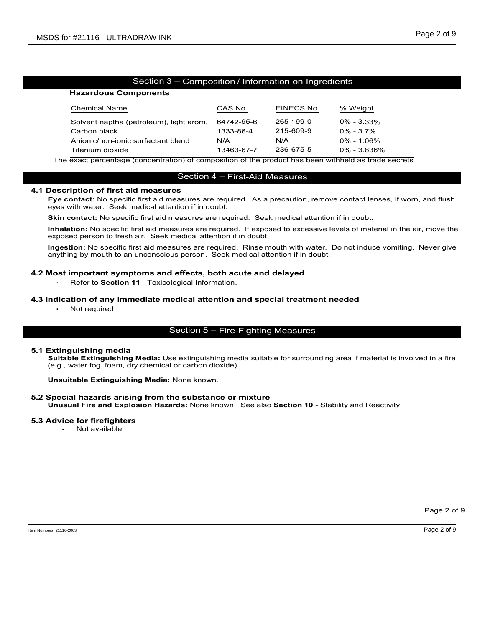| MSDS for #21116 - ULTRADRAW INK                                                                                                                                                                                       |                                    |                        |                                 | Page 2 of 9 |
|-----------------------------------------------------------------------------------------------------------------------------------------------------------------------------------------------------------------------|------------------------------------|------------------------|---------------------------------|-------------|
|                                                                                                                                                                                                                       |                                    |                        |                                 |             |
|                                                                                                                                                                                                                       |                                    |                        |                                 |             |
|                                                                                                                                                                                                                       |                                    |                        |                                 |             |
| Section 3 - Composition / Information on Ingredients                                                                                                                                                                  |                                    |                        |                                 |             |
| <b>Hazardous Components</b>                                                                                                                                                                                           |                                    |                        |                                 |             |
| <b>Chemical Name</b>                                                                                                                                                                                                  | CAS No.                            | EINECS No.             | % Weight                        |             |
| Solvent naptha (petroleum), light arom.<br>Carbon black                                                                                                                                                               | 64742-95-6<br>1333-86-4            | 265-199-0<br>215-609-9 | $0\% - 3.33\%$<br>$0\% - 3.7\%$ |             |
| Anionic/non-ionic surfactant blend                                                                                                                                                                                    | N/A                                | N/A                    | $0\% - 1.06\%$                  |             |
| Titanium dioxide                                                                                                                                                                                                      | 13463-67-7                         | 236-675-5              | 0% - 3.836%                     |             |
| The exact percentage (concentration) of composition of the product has been withheld as trade secrets                                                                                                                 |                                    |                        |                                 |             |
|                                                                                                                                                                                                                       | Section 4 - First-Aid Measures     |                        |                                 |             |
| 4.1 Description of first aid measures<br>Eye contact: No specific first aid measures are required. As a precaution, remove contact lenses, if worn, and flush<br>eyes with water. Seek medical attention if in doubt. |                                    |                        |                                 |             |
| <b>Skin contact:</b> No specific first aid measures are required. Seek medical attention if in doubt.                                                                                                                 |                                    |                        |                                 |             |
| Inhalation: No specific first aid measures are required. If exposed to excessive levels of material in the air, move the<br>exposed person to fresh air. Seek medical attention if in doubt.                          |                                    |                        |                                 |             |
| Ingestion: No specific first aid measures are required. Rinse mouth with water. Do not induce vomiting. Never give<br>anything by mouth to an unconscious person. Seek medical attention if in doubt.                 |                                    |                        |                                 |             |
| 4.2 Most important symptoms and effects, both acute and delayed<br>Refer to Section 11 - Toxicological Information.                                                                                                   |                                    |                        |                                 |             |
| 4.3 Indication of any immediate medical attention and special treatment needed<br>Not required                                                                                                                        |                                    |                        |                                 |             |
|                                                                                                                                                                                                                       | Section 5 - Fire-Fighting Measures |                        |                                 |             |
| 5.1 Extinguishing media<br>Suitable Extinguishing Media: Use extinguishing media suitable for surrounding area if material is involved in a fire<br>(e.g., water fog, foam, dry chemical or carbon dioxide).          |                                    |                        |                                 |             |
|                                                                                                                                                                                                                       |                                    |                        |                                 |             |

The extinguishing concentration) of composition of the product has been withheld as track secrets<br>
Section 4 – First-Aid Measures<br>
Description of first aid measures are required. As a precaution, remove contact lenses, if The exact percentage (concentration) of composition of the product has been withhe<br>
Section 4 – First-Aid Measures<br>
Description of first aid measures are required. As a precaution, remove co<br>
eyes with water. Seek medical Section 4 - First-Alid Measures<br>
Eye contact: No specific first aid measures are required. As a precaution, remove contact lenses, if<br>
yey contact: No specific first aid measures are required. Seek medical attention if in Eye contact: No specific first aid measures are required. As a precaution, remove contact lenses, if wom, and flush<br>Skin contact: No specific first aid measures are required. Geek medical attention if in doubt.<br>
Skin conta

d in a fire<br>Page 2 of 9<br>Page 2 of 9 5.1 Extinguishing media<br>Suitable Extinguishing Media: Use extinguishing media suitable for surrounding area if material is involved in a fire

### 5.2 Special hazards arising from the substance or mixture

### 5.3 Advice for firefighters

Not available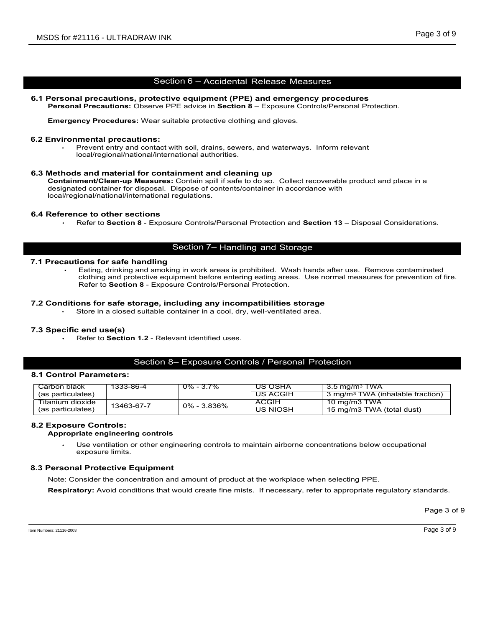MSDS for #21116 - ULTRADRAW INK<br>
Section 6 - Accidental Release Measures<br>
6.1 Personal precautions, protective equipment (PPE) and emergency procedures<br>
Personal Precautions: Observe PPE advice in Section 8 - Exposure Cont Personal Precautions:<br>
Personal Precautions: Protective equipment (PPE) and emergency procedures<br>
Personal Precautions: Observe PPE advice in Section 8 – Exposure Controls/Personal Protection.<br>
Emergency Procedures: Wear s V INK<br>Section 6 – Accidental Release Measures<br>tective equipment (PPE) and emergency procedures<br>we PPE advice in Section 8 – Exposure Controls/Personal Protection.<br>ar suitable protective clothing and gloves.

Emergency Procedures: Wear suitable protective clothing and gloves.

### 6.2 Environmental precautions:

Page 3 of 9<br>
Page 3 of 9<br>
Scetion 6 – Accidental Release Measures<br>
al precautions, protective equipment (PPE) and emergency procedures<br>
al Precautions: Observe PPE advice in Section 8 – Exposure Controls/Personal Protectio Page 3 of 9<br>
Section 6 – Accidental Release Measures<br>
al precautions, protective equipment (PPE) and emergency procedures<br>
al Precautions: Observe PPE advice in Section 8 – Exposure Controls/Personal Protection.<br>
mey Proce 6.3 Methods and material for containment and cleaning up<br>Containment/Clean-up Measures: Contain spill if safe to do so. Collect recoverable product and place in a DS for #21116 - ULTRADRAW INK<br>
Section 6 - Accidental Release Measures<br>
Personal precautions; protective equipment (PPE) and emergency procedures<br>
Personal Precautions: Observe PPE advice in Section 8 - Exposure Controls/P designated container for disposal. Dispose of contents/container in accordance with local/regional/national/international regulations. MSDS for #21116 - ULTRADRAW INK<br>
Section 6 - Accidental Release Mexican<br>
Personal precautions: Observe PPE advise in Section 8 - Exposure C<br>
Personal Precautions: Observe PPE advise in Section 8 - Exposure C<br>
Emergency Pr Refer to Section 8 - Accidential Release Measures<br>
al precautions, protective equipment (PPE) and emergency procedures<br>
al Precautions: Observe PPE advice in Section 8 - Exposure Controls/Personal Protection.<br>
Immental pre Section 6 - Accidental Release Measures<br>
Referantions: Observe PPE advice in Section 8 - Exposure Controls/Personal Protection.<br>
Representions: Observe PPE advice in Section 8 - Exposure Controls/Personal Protection.<br>
Repr 6.1 Personal precautions ; protective equipment (PPE) and emergency procedures<br>
Personal Procedures: Wear suitable protective clothing and gloves.<br>
5.2 Environmental precautions:<br>
Finder protective for safety and contact w Internal precautions:<br>
Prevent entry and contact with soil, drains, sewers, and waterways. Inform relevant<br>
Diocalize gional material for containment and cleaning up<br>
memorivelean-up Measures: Contain spill if safe to do s

### 7.1 Precautions for safe handling

Section 6 – Accidental Release Measures<br>
I Precautions, protective equipment (PPE) and emergency procedures<br>
I Precautions: Observe PPE advice in Section 8 – Exposure Controls/Personal Protection.<br>
How the contamination af Eating, drinking and smoking in work areas is prohibited. Wash hands after use. Remove contaminated clothing and protective equipment before entering eating areas. Use normal measures for prevention of fire. Refer to Secti al Precautions: Observe PPE advice in Section 8 – Exposure Controls/Personal Protection.<br>
Imperial precautions:<br>
The Prevent entry and contact with soil, drains, sewers, and waterways. Inform relevant<br>
Devent entry and con ion 6 – Accidental Release Measures<br>PE advice in Section 8 – Exposure Controls/Personal Protection.<br>The protective clotting and gloves.<br>And the protective clotting and gloves.<br>And the protective clotting and gloves.<br>And th

### 7.3 Specific end use(s)

### 8.1 Control Parameters:

|                                              |                                                      | <u>local/regional/national/international authorities.</u>                                                                                              |                                 |                                                                                                                                                                                                                    |             |
|----------------------------------------------|------------------------------------------------------|--------------------------------------------------------------------------------------------------------------------------------------------------------|---------------------------------|--------------------------------------------------------------------------------------------------------------------------------------------------------------------------------------------------------------------|-------------|
|                                              | local/regional/national/international regulations.   | 6.3 Methods and material for containment and cleaning up<br>designated container for disposal. Dispose of contents/container in accordance with        |                                 | Containment/Clean-up Measures: Contain spill if safe to do so. Collect recoverable product and place in a                                                                                                          |             |
| 6.4 Reference to other sections              |                                                      |                                                                                                                                                        |                                 | Refer to Section 8 - Exposure Controls/Personal Protection and Section 13 - Disposal Considerations.                                                                                                               |             |
|                                              |                                                      | Section 7- Handling and Storage                                                                                                                        |                                 |                                                                                                                                                                                                                    |             |
| 7.1 Precautions for safe handling            |                                                      | Refer to Section 8 - Exposure Controls/Personal Protection.                                                                                            |                                 | Eating, drinking and smoking in work areas is prohibited. Wash hands after use. Remove contaminated<br>clothing and protective equipment before entering eating areas. Use normal measures for prevention of fire. |             |
|                                              |                                                      | 7.2 Conditions for safe storage, including any incompatibilities storage<br>Store in a closed suitable container in a cool, dry, well-ventilated area. |                                 |                                                                                                                                                                                                                    |             |
| 7.3 Specific end use(s)                      |                                                      | Refer to Section 1.2 - Relevant identified uses.                                                                                                       |                                 |                                                                                                                                                                                                                    |             |
|                                              |                                                      | Section 8- Exposure Controls / Personal Protection                                                                                                     |                                 |                                                                                                                                                                                                                    |             |
| 8.1 Control Parameters:                      |                                                      |                                                                                                                                                        |                                 |                                                                                                                                                                                                                    |             |
| Carbon black<br>(as particulates)            | 1333-86-4                                            | $0\% - 3.7\%$                                                                                                                                          | US OSHA<br><b>US ACGIH</b>      | $3.5 \text{ mg/m}^3$ TWA<br>3 mg/m <sup>3</sup> TWA (inhalable fraction)                                                                                                                                           |             |
| <b>Titanium dioxide</b><br>(as particulates) | 13463-67-7                                           | 0% - 3.836%                                                                                                                                            | <b>ACGIH</b><br><u>US NIOSH</u> | 10 mg/m3 TWA<br>15 mg/m3 TWA (total dust)                                                                                                                                                                          |             |
| <b>8.2 Exposure Controls:</b>                | Appropriate engineering controls<br>exposure limits. |                                                                                                                                                        |                                 | Use ventilation or other engineering controls to maintain airborne concentrations below occupational                                                                                                               |             |
| 8.3 Personal Protective Equipment            |                                                      |                                                                                                                                                        |                                 |                                                                                                                                                                                                                    |             |
|                                              |                                                      | Note: Consider the concentration and amount of product at the workplace when selecting PPE.                                                            |                                 |                                                                                                                                                                                                                    |             |
|                                              |                                                      |                                                                                                                                                        |                                 | Respiratory: Avoid conditions that would create fine mists. If necessary, refer to appropriate regulatory standards.                                                                                               |             |
|                                              |                                                      |                                                                                                                                                        |                                 |                                                                                                                                                                                                                    | Page 3 of 9 |
| em Numbers: 21116-2003                       |                                                      |                                                                                                                                                        |                                 |                                                                                                                                                                                                                    | Page 3 of 9 |
|                                              |                                                      |                                                                                                                                                        |                                 |                                                                                                                                                                                                                    |             |
|                                              |                                                      |                                                                                                                                                        |                                 |                                                                                                                                                                                                                    |             |
|                                              |                                                      |                                                                                                                                                        |                                 |                                                                                                                                                                                                                    |             |

### 8.2 Exposure Controls:

### Appropriate engineering controls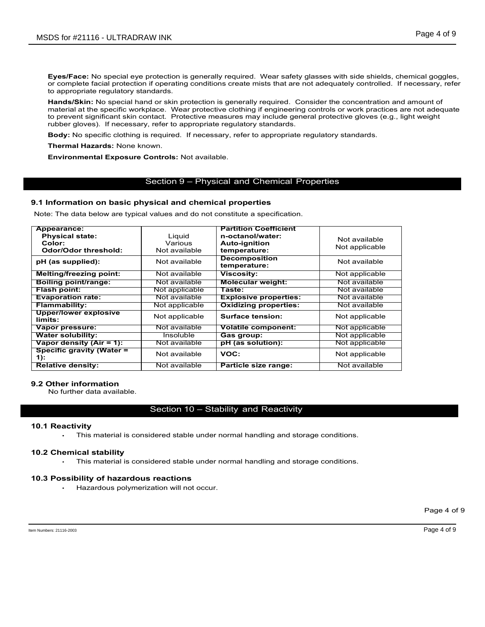**Eyes/Face:** No special eye protection is generally required. Wear safety glasses with side shields, chemical goggles, or complete facial protection if operating conditions create mists that are not adequately controlled. **Eyes/Face:** No special eye protection is generally required. Wear safety glasses with side shields, chemical goggles, or complete facial protection if operating conditions create mists that are not adequately controlled. DS for #21116 - ULTRADRAW INK<br>
Eyes/Face: No special eye protection is generally required. Wear safety glasses with side shields,<br>
or complete facial protection if operating conditions create mists that are not adequately DS for #21116 - ULTRADRAW INK<br>
Page 4 of 9<br>
Hands-Consider the consideration is generally required. Wear safety glasses with side shields, chemical goggles,<br>
or complete facial protection if operating conditions create mis material at the specific workplace. Wear protective clothing if engineering controls or work practices are not adequate<br>to prevent significant skin contact. Protective measures may include general protective gloves (e.g., DS for #21116 - ULTRADRAW INK<br>
Fyes/Face: No special eye protection is generally required. Wear safety glasses with side shields, chemical goggles,<br>
or complete facial protection if operating conditions create mists that a DS for #21116 - ULTRADRAW INK<br>Eyes/Face: No special eye protection is generally required. Wear safety glasses with side<br>or complete facial protection if operating conditions create mists that are not adequately col<br>hands/S DS for #21116 - ULTRADRAW INK<br>
Fyes/Face: No special eye protection is generally required. Wear safety glasses with side shields, chemical gog<br>
or complete facial protection if operating conditions create mists that are no Page 4 of 9<br>
Page 4 of 9<br>
Protection is generally required. Wear safety glasses with side shields, chemical goggles,<br>
if operating conditions create mists that are not adequately controlled. If necessary, refer<br>
indents.<br>

Thermal Hazards: None known.

Environmental Exposure Controls: Not available.

### 9.1 Information on basic physical and chemical properties

| Appearance:                                                     |                                          | <b>Partition Coefficient</b>                                                     |                                 |             |
|-----------------------------------------------------------------|------------------------------------------|----------------------------------------------------------------------------------|---------------------------------|-------------|
| <b>Physical state:</b><br>Color:<br><b>Odor/Odor threshold:</b> | Liquid<br>Various<br>Not available       | n-octanol/water:<br><b>Auto-ignition</b><br>temperature:                         | Not available<br>Not applicable |             |
| pH (as supplied):                                               | Not available                            | <b>Decomposition</b><br>temperature:                                             | Not available                   |             |
| <b>Melting/freezing point:</b>                                  | Not available                            | <b>Viscosity:</b>                                                                | Not applicable                  |             |
| <b>Boiling point/range:</b>                                     | Not available                            | <b>Molecular weight:</b>                                                         | Not available                   |             |
| <b>Flash point:</b>                                             | Not applicable                           | Taste:                                                                           | Not available                   |             |
| <b>Evaporation rate:</b>                                        | Not available                            | <b>Explosive properties:</b>                                                     | Not available                   |             |
| <b>Flammability:</b>                                            | Not applicable                           | <b>Oxidizing properties:</b>                                                     | Not available                   |             |
| <b>Upper/lower explosive</b><br>limits:                         | Not applicable                           | <b>Surface tension:</b>                                                          | Not applicable                  |             |
| Vapor pressure:                                                 | Not available                            | <b>Volatile component:</b>                                                       | Not applicable                  |             |
| <b>Water solubility:</b>                                        | <b>Insoluble</b>                         | Gas group:                                                                       | Not applicable                  |             |
| Vapor density $(Air = 1)$ :                                     | Not available                            | pH (as solution):                                                                | Not applicable                  |             |
| <b>Specific gravity (Water =</b><br>$1)$ :                      | Not available                            | VOC:                                                                             | Not applicable                  |             |
| <b>Relative density:</b>                                        | Not available                            | Particle size range:                                                             | Not available                   |             |
| 9.2 Other information<br>No further data available.             |                                          | Section 10 - Stability and Reactivity                                            |                                 |             |
| <b>10.1 Reactivity</b>                                          |                                          | This material is considered stable under normal handling and storage conditions. |                                 |             |
| 10.2 Chemical stability                                         |                                          | This material is considered stable under normal handling and storage conditions. |                                 |             |
|                                                                 |                                          |                                                                                  |                                 |             |
| 10.3 Possibility of hazardous reactions                         | Hazardous polymerization will not occur. |                                                                                  |                                 |             |
|                                                                 |                                          |                                                                                  |                                 |             |
|                                                                 |                                          |                                                                                  |                                 | Page 4 of 9 |

## **9.2 Other information**<br>No further data available.

### 10.1 Reactivity

### 10.2 Chemical stability

### 10.3 Possibility of hazardous reactions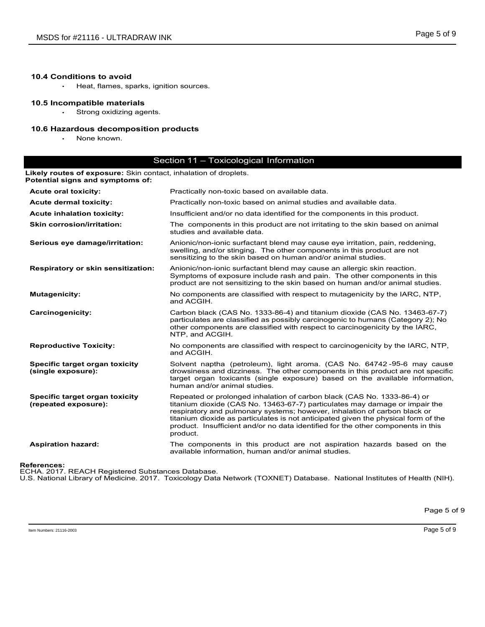### 10.4 Conditions to avoid

### 10.5 Incompatible materials

### 10.6 Hazardous decomposition products

|                                                                                         |                                                                                                                                                                                                                                                                                                                                                                                                               | Page 5 of 9 |
|-----------------------------------------------------------------------------------------|---------------------------------------------------------------------------------------------------------------------------------------------------------------------------------------------------------------------------------------------------------------------------------------------------------------------------------------------------------------------------------------------------------------|-------------|
| MSDS for #21116 - ULTRADRAW INK                                                         |                                                                                                                                                                                                                                                                                                                                                                                                               |             |
| <b>10.4 Conditions to avoid</b><br>Heat, flames, sparks, ignition sources.<br>$\bullet$ |                                                                                                                                                                                                                                                                                                                                                                                                               |             |
| 10.5 Incompatible materials<br>Strong oxidizing agents.<br>$\bullet$                    |                                                                                                                                                                                                                                                                                                                                                                                                               |             |
| 10.6 Hazardous decomposition products<br>None known.<br>$\bullet$                       |                                                                                                                                                                                                                                                                                                                                                                                                               |             |
| Likely routes of exposure: Skin contact, inhalation of droplets.                        | Section 11 - Toxicological Information                                                                                                                                                                                                                                                                                                                                                                        |             |
| Potential signs and symptoms of:                                                        |                                                                                                                                                                                                                                                                                                                                                                                                               |             |
| <b>Acute oral toxicity:</b><br><b>Acute dermal toxicity:</b>                            | Practically non-toxic based on available data.<br>Practically non-toxic based on animal studies and available data.                                                                                                                                                                                                                                                                                           |             |
| <b>Acute inhalation toxicity:</b>                                                       | Insufficient and/or no data identified for the components in this product.                                                                                                                                                                                                                                                                                                                                    |             |
| <b>Skin corrosion/irritation:</b>                                                       | The components in this product are not irritating to the skin based on animal<br>studies and available data.                                                                                                                                                                                                                                                                                                  |             |
| Serious eye damage/irritation:                                                          | Anionic/non-ionic surfactant blend may cause eye irritation, pain, reddening,<br>swelling, and/or stinging. The other components in this product are not<br>sensitizing to the skin based on human and/or animal studies.                                                                                                                                                                                     |             |
| <b>Respiratory or skin sensitization:</b>                                               | Anionic/non-ionic surfactant blend may cause an allergic skin reaction.<br>Symptoms of exposure include rash and pain. The other components in this<br>product are not sensitizing to the skin based on human and/or animal studies.                                                                                                                                                                          |             |
| <b>Mutagenicity:</b>                                                                    | No components are classified with respect to mutagenicity by the IARC, NTP,<br>and ACGIH.                                                                                                                                                                                                                                                                                                                     |             |
| <b>Carcinogenicity:</b>                                                                 | Carbon black (CAS No. 1333-86-4) and titanium dioxide (CAS No. 13463-67-7)<br>particulates are classified as possibly carcinogenic to humans (Category 2); No<br>other components are classified with respect to carcinogenicity by the IARC,<br>NTP, and ACGIH.                                                                                                                                              |             |
| <b>Reproductive Toxicity:</b>                                                           | No components are classified with respect to carcinogenicity by the IARC, NTP,<br>and ACGIH.                                                                                                                                                                                                                                                                                                                  |             |
| Specific target organ toxicity<br>(single exposure):                                    | Solvent naptha (petroleum), light aroma. (CAS No. 64742-95-6 may cause<br>drowsiness and dizziness. The other components in this product are not specific<br>target organ toxicants (single exposure) based on the available information,<br>human and/or animal studies.                                                                                                                                     |             |
| Specific target organ toxicity<br>(repeated exposure):                                  | Repeated or prolonged inhalation of carbon black (CAS No. 1333-86-4) or<br>titanium dioxide (CAS No. 13463-67-7) particulates may damage or impair the<br>respiratory and pulmonary systems; however, inhalation of carbon black or<br>titanium dioxide as particulates is not anticipated given the physical form of the<br>product. Insufficient and/or no data identified for the other components in this |             |
| <b>Aspiration hazard:</b>                                                               | The components in this product are not aspiration hazards based on the<br>available information, human and/or animal studies.                                                                                                                                                                                                                                                                                 |             |
| <b>References:</b><br>ECHA. 2017. REACH Registered Substances Database.                 | product.<br>U.S. National Library of Medicine. 2017. Toxicology Data Network (TOXNET) Database. National Institutes of Health (NIH).                                                                                                                                                                                                                                                                          |             |
|                                                                                         |                                                                                                                                                                                                                                                                                                                                                                                                               |             |
|                                                                                         |                                                                                                                                                                                                                                                                                                                                                                                                               | Page 5 of 9 |
|                                                                                         |                                                                                                                                                                                                                                                                                                                                                                                                               |             |

### References: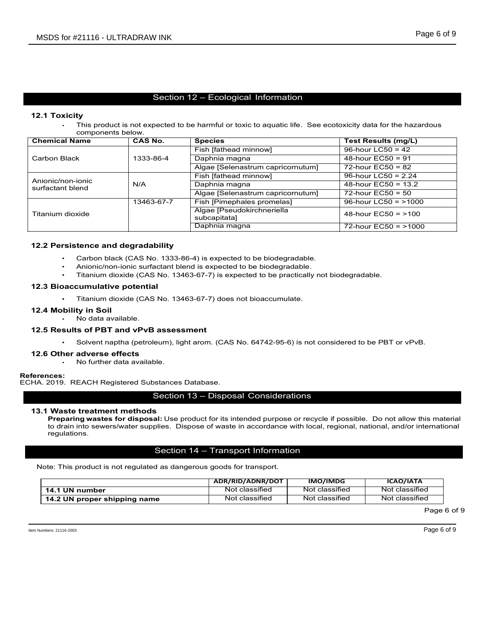### 12.1 Toxicity

VINK<br>
Section 12 – Ecological Information<br>
Section 12 – Ecological Information<br>
No. Species<br>
No. Species<br>
Section 1994<br>
Test Results (mg/L)<br>
Test Results (mg/L)

|                                                                  | MSDS for #21116 - ULTRADRAW INK |                                                                                                             | Page 6 of 9                                 |
|------------------------------------------------------------------|---------------------------------|-------------------------------------------------------------------------------------------------------------|---------------------------------------------|
|                                                                  |                                 |                                                                                                             |                                             |
|                                                                  |                                 |                                                                                                             |                                             |
|                                                                  |                                 | Section 12 - Ecological Information                                                                         |                                             |
|                                                                  |                                 |                                                                                                             |                                             |
| 12.1 Toxicity<br>$\bullet$                                       |                                 | This product is not expected to be harmful or toxic to aquatic life. See ecotoxicity data for the hazardous |                                             |
| components below.                                                |                                 |                                                                                                             |                                             |
| <b>Chemical Name</b>                                             | <b>CAS No.</b>                  | <b>Species</b>                                                                                              | <b>Test Results (mg/L)</b>                  |
|                                                                  |                                 | Fish [fathead minnow]                                                                                       | 96-hour LC50 = $42$                         |
| <b>Carbon Black</b>                                              | 1333-86-4                       | Daphnia magna                                                                                               | 48-hour $EC50 = 91$                         |
|                                                                  |                                 | Algae [Selenastrum capricornutum]                                                                           | 72-hour $EC50 = 82$                         |
| Anionic/non-ionic                                                |                                 | Fish [fathead minnow]                                                                                       | 96-hour LC50 = 2.24                         |
| surfactant blend                                                 | N/A                             | Daphnia magna<br>Algae [Selenastrum capricornutum]                                                          | 48-hour EC50 = 13.2<br>$72$ -hour EC50 = 50 |
|                                                                  | 13463-67-7                      | Fish [Pimephales promelas]                                                                                  | 96-hour LC50 = $>1000$                      |
|                                                                  |                                 | Algae [Pseudokirchneriella                                                                                  |                                             |
| Titanium dioxide                                                 |                                 | subcapitata]                                                                                                | 48-hour $EC50 = 100$                        |
|                                                                  |                                 | Daphnia magna                                                                                               | 72-hour $EC50 = 1000$                       |
| 12.2 Persistence and degradability                               |                                 |                                                                                                             |                                             |
|                                                                  |                                 | Carbon black (CAS No. 1333-86-4) is expected to be biodegradable.                                           |                                             |
|                                                                  |                                 | Anionic/non-ionic surfactant blend is expected to be biodegradable.                                         |                                             |
|                                                                  |                                 | Titanium dioxide (CAS No. 13463-67-7) is expected to be practically not biodegradable.                      |                                             |
| 12.3 Bioaccumulative potential                                   |                                 |                                                                                                             |                                             |
|                                                                  |                                 |                                                                                                             |                                             |
| $\bullet$                                                        |                                 | Titanium dioxide (CAS No. 13463-67-7) does not bioaccumulate.                                               |                                             |
| 12.4 Mobility in Soil                                            |                                 |                                                                                                             |                                             |
| · No data available.                                             |                                 |                                                                                                             |                                             |
| 12.5 Results of PBT and vPvB assessment                          |                                 |                                                                                                             |                                             |
| $\bullet$ .                                                      |                                 | Solvent naptha (petroleum), light arom. (CAS No. 64742-95-6) is not considered to be PBT or vPvB.           |                                             |
| 12.6 Other adverse effects                                       |                                 |                                                                                                             |                                             |
|                                                                  | No further data available.      |                                                                                                             |                                             |
|                                                                  |                                 |                                                                                                             |                                             |
| References:<br>ECHA. 2019. REACH Registered Substances Database. |                                 |                                                                                                             |                                             |
|                                                                  |                                 | Section 13 - Disposal Considerations                                                                        |                                             |
|                                                                  |                                 |                                                                                                             |                                             |
| 13.1 Waste treatment methods                                     |                                 |                                                                                                             |                                             |

### 12.2 Persistence and degradability

- Carbon black (CAS No. 1333-86-4) is expected to be biodegradable.
- Anionic/non-ionic surfactant blend is expected to be biodegradable.
- Titanium dioxide (CAS No. 13463-67-7) is expected to be practically not biodegradable.

### 12.3 Bioaccumulative potential

- 
- 
- 12.4 Mobility in Soil<br>No data available.

### 12.5 Results of PBT and vPvB assessment

### 12.6 Other adverse effects

## References:<br>ECHA. 2019. REACH Registered Substances Database.

### 13.1 Waste treatment methods

is material<br>ernational<br>d<br>Page 6 of 9<br>Page 6 of 9 Frequency of the subsequent of the subsequent of the separated by the present of the separation of the separation of the separation of the separation of the separation of the contended to the biodegradable.<br>
Trainium diox **Persistence and degradability**<br>
Carbon black (CAS No. 1333-864) is expected to be biodegradable.<br>
Carbon black (CAS No. 13463-67-7) is expected to be predically not biodegradable.<br>
Trianium dioxide (CAS No. 13463-67-7) i to drain into sewers/water supplies. Dispose of waste in accordance with local, regional, national, and/or international regulations.

| <b>ADR/RID/ADNR/DOT</b> | <b>IMO/IMDG</b>                                                                                                                                                   | <b>ICAO/IATA</b>                                                                                                                                                                                                                                                                                                                                                                                                                                                                                                                                                                                                                                                                                                                             |
|-------------------------|-------------------------------------------------------------------------------------------------------------------------------------------------------------------|----------------------------------------------------------------------------------------------------------------------------------------------------------------------------------------------------------------------------------------------------------------------------------------------------------------------------------------------------------------------------------------------------------------------------------------------------------------------------------------------------------------------------------------------------------------------------------------------------------------------------------------------------------------------------------------------------------------------------------------------|
| Not classified          | Not classified                                                                                                                                                    | Not classified                                                                                                                                                                                                                                                                                                                                                                                                                                                                                                                                                                                                                                                                                                                               |
| Not classified          | Not classified                                                                                                                                                    | Not classified                                                                                                                                                                                                                                                                                                                                                                                                                                                                                                                                                                                                                                                                                                                               |
|                         |                                                                                                                                                                   | Page 6 of 9                                                                                                                                                                                                                                                                                                                                                                                                                                                                                                                                                                                                                                                                                                                                  |
|                         |                                                                                                                                                                   |                                                                                                                                                                                                                                                                                                                                                                                                                                                                                                                                                                                                                                                                                                                                              |
|                         | 2.5 Results of PBT and vPvB assessment<br>A. 2019. REACH Registered Substances Database.<br>Note: This product is not regulated as dangerous goods for transport. | Carbon black (CAS No. 1333-86-4) is expected to be biodegradable.<br>Anionic/non-ionic surfactant blend is expected to be biodegradable.<br>Titanium dioxide (CAS No. 13463-67-7) is expected to be practically not biodegradable.<br>Titanium dioxide (CAS No. 13463-67-7) does not bioaccumulate.<br>Solvent naptha (petroleum), light arom. (CAS No. 64742-95-6) is not considered to be PBT or vPvB.<br>Section 13 - Disposal Considerations<br>Preparing wastes for disposal: Use product for its intended purpose or recycle if possible. Do not allow this material<br>to drain into sewers/water supplies. Dispose of waste in accordance with local, regional, national, and/or international<br>Section 14 - Transport Information |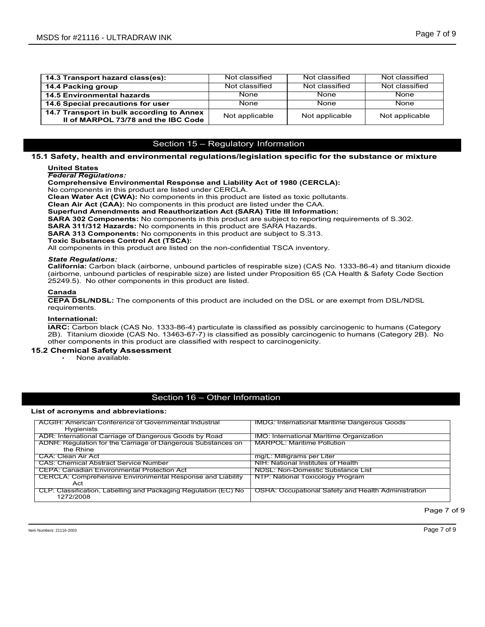| MSDS for #21116 - ULTRADRAW INK                                                                                                                                                                   |                                     |                | Page 7 of 9    |
|---------------------------------------------------------------------------------------------------------------------------------------------------------------------------------------------------|-------------------------------------|----------------|----------------|
|                                                                                                                                                                                                   |                                     |                |                |
|                                                                                                                                                                                                   |                                     |                |                |
|                                                                                                                                                                                                   |                                     |                |                |
| 14.3 Transport hazard class(es):                                                                                                                                                                  | Not classified                      | Not classified | Not classified |
| 14.4 Packing group                                                                                                                                                                                | Not classified                      | Not classified | Not classified |
| <b>14.5 Environmental hazards</b>                                                                                                                                                                 | None                                | None           | None           |
| 14.6 Special precautions for user                                                                                                                                                                 | None                                | None           | None           |
| 14.7 Transport in bulk according to Annex<br>II of MARPOL 73/78 and the IBC Code                                                                                                                  | Not applicable                      | Not applicable | Not applicable |
|                                                                                                                                                                                                   |                                     |                |                |
|                                                                                                                                                                                                   |                                     |                |                |
|                                                                                                                                                                                                   | Section 15 - Regulatory Information |                |                |
| 15.1 Safety, health and environmental regulations/legislation specific for the substance or mixture                                                                                               |                                     |                |                |
| <b>United States</b>                                                                                                                                                                              |                                     |                |                |
| <b>Federal Regulations:</b>                                                                                                                                                                       |                                     |                |                |
| <b>Comprehensive Environmental Response and Liability Act of 1980 (CERCLA):</b>                                                                                                                   |                                     |                |                |
| No components in this product are listed under CERCLA.<br>Clean Water Act (CWA): No components in this product are listed as toxic pollutants.                                                    |                                     |                |                |
| Clean Air Act (CAA): No components in this product are listed under the CAA.                                                                                                                      |                                     |                |                |
| <b>Superfund Amendments and Reauthorization Act (SARA) Title III Information:</b>                                                                                                                 |                                     |                |                |
| <b>SARA 302 Components:</b> No components in this product are subject to reporting requirements of S.302.                                                                                         |                                     |                |                |
| SARA 311/312 Hazards: No components in this product are SARA Hazards.<br><b>SARA 313 Components:</b> No components in this product are subject to S.313.                                          |                                     |                |                |
| <b>Toxic Substances Control Act (TSCA):</b>                                                                                                                                                       |                                     |                |                |
| All components in this product are listed on the non-confidential TSCA inventory.                                                                                                                 |                                     |                |                |
| <b>State Regulations:</b>                                                                                                                                                                         |                                     |                |                |
| California: Carbon black (airborne, unbound particles of respirable size) (CAS No. 1333-86-4) and titanium dioxide                                                                                |                                     |                |                |
| (airborne, unbound particles of respirable size) are listed under Proposition 65 (CA Health & Safety Code Section                                                                                 |                                     |                |                |
| 25249.5). No other components in this product are listed.                                                                                                                                         |                                     |                |                |
| Canada                                                                                                                                                                                            |                                     |                |                |
| <b>CEPA DSL/NDSL:</b> The components of this product are included on the DSL or are exempt from DSL/NDSL<br>requirements.                                                                         |                                     |                |                |
| International:                                                                                                                                                                                    |                                     |                |                |
| IARC: Carbon black (CAS No. 1333-86-4) particulate is classified as possibly carcinogenic to humans (Category                                                                                     |                                     |                |                |
|                                                                                                                                                                                                   |                                     |                |                |
| 2B). Titanium dioxide (CAS No. 13463-67-7) is classified as possibly carcinogenic to humans (Category 2B). No<br>other components in this product are classified with respect to carcinogenicity. |                                     |                |                |

## **United States<br>Federal Regulations:**

Safety, health and environmental regulations/legislation specific for the substance or mixture united States<br>Federal Regulations:<br>Federal Regulations:<br>Comprehensive Environmental Response and Liability Act of 1980 (CERCLA)

### Canada

### International:

### 15.2 Chemical Safety Assessment

| Clean Air Act (CAA): No components in this product are listed under the CAA.<br><b>Superfund Amendments and Reauthorization Act (SARA) Title III Information:</b><br>SARA 302 Components: No components in this product are subject to reporting requirements of S.302.<br>SARA 311/312 Hazards: No components in this product are SARA Hazards.<br><b>SARA 313 Components:</b> No components in this product are subject to S.313.<br><b>Toxic Substances Control Act (TSCA):</b><br>All components in this product are listed on the non-confidential TSCA inventory. | Clean Water Act (CWA): No components in this product are listed as toxic pollutants. |  |
|-------------------------------------------------------------------------------------------------------------------------------------------------------------------------------------------------------------------------------------------------------------------------------------------------------------------------------------------------------------------------------------------------------------------------------------------------------------------------------------------------------------------------------------------------------------------------|--------------------------------------------------------------------------------------|--|
| <b>State Regulations:</b><br>California: Carbon black (airborne, unbound particles of respirable size) (CAS No. 1333-86-4) and titanium dioxide<br>(airborne, unbound particles of respirable size) are listed under Proposition 65 (CA Health & Safety Code Section<br>25249.5). No other components in this product are listed.                                                                                                                                                                                                                                       |                                                                                      |  |
| Canada<br><b>CEPA DSL/NDSL:</b> The components of this product are included on the DSL or are exempt from DSL/NDSL<br>requirements.                                                                                                                                                                                                                                                                                                                                                                                                                                     |                                                                                      |  |
| International:<br>IARC: Carbon black (CAS No. 1333-86-4) particulate is classified as possibly carcinogenic to humans (Category<br>2B). Titanium dioxide (CAS No. 13463-67-7) is classified as possibly carcinogenic to humans (Category 2B). No<br>other components in this product are classified with respect to carcinogenicity.                                                                                                                                                                                                                                    |                                                                                      |  |
| 15.2 Chemical Safety Assessment<br>None available.                                                                                                                                                                                                                                                                                                                                                                                                                                                                                                                      |                                                                                      |  |
|                                                                                                                                                                                                                                                                                                                                                                                                                                                                                                                                                                         |                                                                                      |  |
| Section 16 - Other Information                                                                                                                                                                                                                                                                                                                                                                                                                                                                                                                                          |                                                                                      |  |
| List of acronyms and abbreviations:                                                                                                                                                                                                                                                                                                                                                                                                                                                                                                                                     |                                                                                      |  |
| ACGIH: American Conference of Governmental Industrial                                                                                                                                                                                                                                                                                                                                                                                                                                                                                                                   | <b>IMDG: International Maritime Dangerous Goods</b>                                  |  |
| Hygienists<br>ADR: International Carriage of Dangerous Goods by Road                                                                                                                                                                                                                                                                                                                                                                                                                                                                                                    | <b>IMO:</b> International Maritime Organization                                      |  |
| ADNR: Regulation for the Carriage of Dangerous Substances on<br>the Rhine                                                                                                                                                                                                                                                                                                                                                                                                                                                                                               | <b>MARPOL: Maritime Pollution</b>                                                    |  |
| CAA: Clean Air Act                                                                                                                                                                                                                                                                                                                                                                                                                                                                                                                                                      | mg/L: Milligrams per Liter                                                           |  |
| <b>CAS: Chemical Abstract Service Number</b>                                                                                                                                                                                                                                                                                                                                                                                                                                                                                                                            | NIH: National Institutes of Health                                                   |  |
| <b>CEPA: Canadian Environmental Protection Act</b>                                                                                                                                                                                                                                                                                                                                                                                                                                                                                                                      | <b>NDSL: Non-Domestic Substance List</b>                                             |  |
| <b>CERCLA: Comprehensive Environmental Response and Liability</b><br>Act                                                                                                                                                                                                                                                                                                                                                                                                                                                                                                | NTP: National Toxicology Program                                                     |  |
| CLP: Classification, Labelling and Packaging Regulation (EC) No<br>1272/2008                                                                                                                                                                                                                                                                                                                                                                                                                                                                                            | <b>OSHA: Occupational Safety and Health Administration</b>                           |  |
|                                                                                                                                                                                                                                                                                                                                                                                                                                                                                                                                                                         | Page 7 of 9                                                                          |  |
|                                                                                                                                                                                                                                                                                                                                                                                                                                                                                                                                                                         |                                                                                      |  |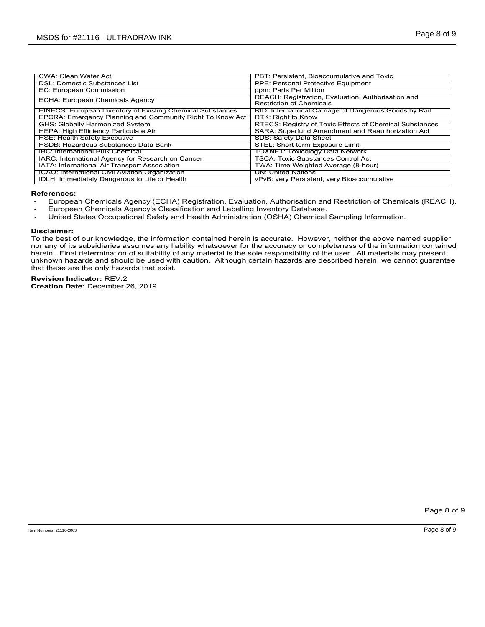| MSDS for #21116 - ULTRADRAW INK<br><b>CWA: Clean Water Act</b><br>PBT: Persistent, Bioaccumulative and Toxic<br><b>DSL: Domestic Substances List</b><br><b>PPE: Personal Protective Equipment</b><br><b>EC: European Commission</b><br>ppm: Parts Per Million<br>REACH: Registration, Evaluation, Authorisation and<br>ECHA: European Chemicals Agency<br><b>Restriction of Chemicals</b><br><b>EINECS: European Inventory of Existing Chemical Substances</b><br>RID: International Carriage of Dangerous Goods by Rail<br>EPCRA: Emergency Planning and Community Right To Know Act<br>RTK: Right to Know<br><b>GHS: Globally Harmonized System</b><br>RTECS: Registry of Toxic Effects of Chemical Substances<br><b>HEPA: High Efficiency Particulate Air</b><br>SARA: Superfund Amendment and Reauthorization Act<br><b>HSE: Health Safety Executive</b><br><b>SDS: Safety Data Sheet</b><br><b>HSDB: Hazardous Substances Data Bank</b><br><b>STEL: Short-term Exposure Limit</b><br><b>TOXNET: Toxicology Data Network</b><br><b>IBC: International Bulk Chemical</b><br><b>TSCA: Toxic Substances Control Act</b><br>IARC: International Agency for Research on Cancer<br>IATA: International Air Transport Association<br>TWA: Time Weighted Average (8-hour)<br><b>UN: United Nations</b><br>ICAO: International Civil Aviation Organization<br><b>IDLH: Immediately Dangerous to Life or Health</b><br>vPvB: very Persistent, very Bioaccumulative |                                                                                                                            |  |
|--------------------------------------------------------------------------------------------------------------------------------------------------------------------------------------------------------------------------------------------------------------------------------------------------------------------------------------------------------------------------------------------------------------------------------------------------------------------------------------------------------------------------------------------------------------------------------------------------------------------------------------------------------------------------------------------------------------------------------------------------------------------------------------------------------------------------------------------------------------------------------------------------------------------------------------------------------------------------------------------------------------------------------------------------------------------------------------------------------------------------------------------------------------------------------------------------------------------------------------------------------------------------------------------------------------------------------------------------------------------------------------------------------------------------------------------------------------|----------------------------------------------------------------------------------------------------------------------------|--|
|                                                                                                                                                                                                                                                                                                                                                                                                                                                                                                                                                                                                                                                                                                                                                                                                                                                                                                                                                                                                                                                                                                                                                                                                                                                                                                                                                                                                                                                              |                                                                                                                            |  |
|                                                                                                                                                                                                                                                                                                                                                                                                                                                                                                                                                                                                                                                                                                                                                                                                                                                                                                                                                                                                                                                                                                                                                                                                                                                                                                                                                                                                                                                              |                                                                                                                            |  |
|                                                                                                                                                                                                                                                                                                                                                                                                                                                                                                                                                                                                                                                                                                                                                                                                                                                                                                                                                                                                                                                                                                                                                                                                                                                                                                                                                                                                                                                              |                                                                                                                            |  |
| Page 8 of 9                                                                                                                                                                                                                                                                                                                                                                                                                                                                                                                                                                                                                                                                                                                                                                                                                                                                                                                                                                                                                                                                                                                                                                                                                                                                                                                                                                                                                                                  |                                                                                                                            |  |
|                                                                                                                                                                                                                                                                                                                                                                                                                                                                                                                                                                                                                                                                                                                                                                                                                                                                                                                                                                                                                                                                                                                                                                                                                                                                                                                                                                                                                                                              |                                                                                                                            |  |
|                                                                                                                                                                                                                                                                                                                                                                                                                                                                                                                                                                                                                                                                                                                                                                                                                                                                                                                                                                                                                                                                                                                                                                                                                                                                                                                                                                                                                                                              |                                                                                                                            |  |
|                                                                                                                                                                                                                                                                                                                                                                                                                                                                                                                                                                                                                                                                                                                                                                                                                                                                                                                                                                                                                                                                                                                                                                                                                                                                                                                                                                                                                                                              |                                                                                                                            |  |
|                                                                                                                                                                                                                                                                                                                                                                                                                                                                                                                                                                                                                                                                                                                                                                                                                                                                                                                                                                                                                                                                                                                                                                                                                                                                                                                                                                                                                                                              |                                                                                                                            |  |
|                                                                                                                                                                                                                                                                                                                                                                                                                                                                                                                                                                                                                                                                                                                                                                                                                                                                                                                                                                                                                                                                                                                                                                                                                                                                                                                                                                                                                                                              |                                                                                                                            |  |
|                                                                                                                                                                                                                                                                                                                                                                                                                                                                                                                                                                                                                                                                                                                                                                                                                                                                                                                                                                                                                                                                                                                                                                                                                                                                                                                                                                                                                                                              |                                                                                                                            |  |
|                                                                                                                                                                                                                                                                                                                                                                                                                                                                                                                                                                                                                                                                                                                                                                                                                                                                                                                                                                                                                                                                                                                                                                                                                                                                                                                                                                                                                                                              |                                                                                                                            |  |
|                                                                                                                                                                                                                                                                                                                                                                                                                                                                                                                                                                                                                                                                                                                                                                                                                                                                                                                                                                                                                                                                                                                                                                                                                                                                                                                                                                                                                                                              |                                                                                                                            |  |
|                                                                                                                                                                                                                                                                                                                                                                                                                                                                                                                                                                                                                                                                                                                                                                                                                                                                                                                                                                                                                                                                                                                                                                                                                                                                                                                                                                                                                                                              |                                                                                                                            |  |
|                                                                                                                                                                                                                                                                                                                                                                                                                                                                                                                                                                                                                                                                                                                                                                                                                                                                                                                                                                                                                                                                                                                                                                                                                                                                                                                                                                                                                                                              |                                                                                                                            |  |
|                                                                                                                                                                                                                                                                                                                                                                                                                                                                                                                                                                                                                                                                                                                                                                                                                                                                                                                                                                                                                                                                                                                                                                                                                                                                                                                                                                                                                                                              |                                                                                                                            |  |
|                                                                                                                                                                                                                                                                                                                                                                                                                                                                                                                                                                                                                                                                                                                                                                                                                                                                                                                                                                                                                                                                                                                                                                                                                                                                                                                                                                                                                                                              |                                                                                                                            |  |
|                                                                                                                                                                                                                                                                                                                                                                                                                                                                                                                                                                                                                                                                                                                                                                                                                                                                                                                                                                                                                                                                                                                                                                                                                                                                                                                                                                                                                                                              |                                                                                                                            |  |
|                                                                                                                                                                                                                                                                                                                                                                                                                                                                                                                                                                                                                                                                                                                                                                                                                                                                                                                                                                                                                                                                                                                                                                                                                                                                                                                                                                                                                                                              |                                                                                                                            |  |
|                                                                                                                                                                                                                                                                                                                                                                                                                                                                                                                                                                                                                                                                                                                                                                                                                                                                                                                                                                                                                                                                                                                                                                                                                                                                                                                                                                                                                                                              |                                                                                                                            |  |
|                                                                                                                                                                                                                                                                                                                                                                                                                                                                                                                                                                                                                                                                                                                                                                                                                                                                                                                                                                                                                                                                                                                                                                                                                                                                                                                                                                                                                                                              |                                                                                                                            |  |
|                                                                                                                                                                                                                                                                                                                                                                                                                                                                                                                                                                                                                                                                                                                                                                                                                                                                                                                                                                                                                                                                                                                                                                                                                                                                                                                                                                                                                                                              |                                                                                                                            |  |
|                                                                                                                                                                                                                                                                                                                                                                                                                                                                                                                                                                                                                                                                                                                                                                                                                                                                                                                                                                                                                                                                                                                                                                                                                                                                                                                                                                                                                                                              |                                                                                                                            |  |
|                                                                                                                                                                                                                                                                                                                                                                                                                                                                                                                                                                                                                                                                                                                                                                                                                                                                                                                                                                                                                                                                                                                                                                                                                                                                                                                                                                                                                                                              |                                                                                                                            |  |
|                                                                                                                                                                                                                                                                                                                                                                                                                                                                                                                                                                                                                                                                                                                                                                                                                                                                                                                                                                                                                                                                                                                                                                                                                                                                                                                                                                                                                                                              |                                                                                                                            |  |
|                                                                                                                                                                                                                                                                                                                                                                                                                                                                                                                                                                                                                                                                                                                                                                                                                                                                                                                                                                                                                                                                                                                                                                                                                                                                                                                                                                                                                                                              |                                                                                                                            |  |
|                                                                                                                                                                                                                                                                                                                                                                                                                                                                                                                                                                                                                                                                                                                                                                                                                                                                                                                                                                                                                                                                                                                                                                                                                                                                                                                                                                                                                                                              |                                                                                                                            |  |
|                                                                                                                                                                                                                                                                                                                                                                                                                                                                                                                                                                                                                                                                                                                                                                                                                                                                                                                                                                                                                                                                                                                                                                                                                                                                                                                                                                                                                                                              |                                                                                                                            |  |
|                                                                                                                                                                                                                                                                                                                                                                                                                                                                                                                                                                                                                                                                                                                                                                                                                                                                                                                                                                                                                                                                                                                                                                                                                                                                                                                                                                                                                                                              |                                                                                                                            |  |
|                                                                                                                                                                                                                                                                                                                                                                                                                                                                                                                                                                                                                                                                                                                                                                                                                                                                                                                                                                                                                                                                                                                                                                                                                                                                                                                                                                                                                                                              |                                                                                                                            |  |
|                                                                                                                                                                                                                                                                                                                                                                                                                                                                                                                                                                                                                                                                                                                                                                                                                                                                                                                                                                                                                                                                                                                                                                                                                                                                                                                                                                                                                                                              |                                                                                                                            |  |
|                                                                                                                                                                                                                                                                                                                                                                                                                                                                                                                                                                                                                                                                                                                                                                                                                                                                                                                                                                                                                                                                                                                                                                                                                                                                                                                                                                                                                                                              |                                                                                                                            |  |
|                                                                                                                                                                                                                                                                                                                                                                                                                                                                                                                                                                                                                                                                                                                                                                                                                                                                                                                                                                                                                                                                                                                                                                                                                                                                                                                                                                                                                                                              |                                                                                                                            |  |
|                                                                                                                                                                                                                                                                                                                                                                                                                                                                                                                                                                                                                                                                                                                                                                                                                                                                                                                                                                                                                                                                                                                                                                                                                                                                                                                                                                                                                                                              |                                                                                                                            |  |
|                                                                                                                                                                                                                                                                                                                                                                                                                                                                                                                                                                                                                                                                                                                                                                                                                                                                                                                                                                                                                                                                                                                                                                                                                                                                                                                                                                                                                                                              |                                                                                                                            |  |
|                                                                                                                                                                                                                                                                                                                                                                                                                                                                                                                                                                                                                                                                                                                                                                                                                                                                                                                                                                                                                                                                                                                                                                                                                                                                                                                                                                                                                                                              |                                                                                                                            |  |
|                                                                                                                                                                                                                                                                                                                                                                                                                                                                                                                                                                                                                                                                                                                                                                                                                                                                                                                                                                                                                                                                                                                                                                                                                                                                                                                                                                                                                                                              |                                                                                                                            |  |
| References:                                                                                                                                                                                                                                                                                                                                                                                                                                                                                                                                                                                                                                                                                                                                                                                                                                                                                                                                                                                                                                                                                                                                                                                                                                                                                                                                                                                                                                                  |                                                                                                                            |  |
|                                                                                                                                                                                                                                                                                                                                                                                                                                                                                                                                                                                                                                                                                                                                                                                                                                                                                                                                                                                                                                                                                                                                                                                                                                                                                                                                                                                                                                                              |                                                                                                                            |  |
| European Chemicals Agency's Classification and Labelling Inventory Database.                                                                                                                                                                                                                                                                                                                                                                                                                                                                                                                                                                                                                                                                                                                                                                                                                                                                                                                                                                                                                                                                                                                                                                                                                                                                                                                                                                                 |                                                                                                                            |  |
| United States Occupational Safety and Health Administration (OSHA) Chemical Sampling Information.                                                                                                                                                                                                                                                                                                                                                                                                                                                                                                                                                                                                                                                                                                                                                                                                                                                                                                                                                                                                                                                                                                                                                                                                                                                                                                                                                            |                                                                                                                            |  |
| European Chemicals Agency (ECHA) Registration, Evaluation, Authorisation and Restriction of Chemicals (REACH).                                                                                                                                                                                                                                                                                                                                                                                                                                                                                                                                                                                                                                                                                                                                                                                                                                                                                                                                                                                                                                                                                                                                                                                                                                                                                                                                               | Disclaimer:                                                                                                                |  |
|                                                                                                                                                                                                                                                                                                                                                                                                                                                                                                                                                                                                                                                                                                                                                                                                                                                                                                                                                                                                                                                                                                                                                                                                                                                                                                                                                                                                                                                              |                                                                                                                            |  |
| To the best of our knowledge, the information contained herein is accurate. However, neither the above named supplier                                                                                                                                                                                                                                                                                                                                                                                                                                                                                                                                                                                                                                                                                                                                                                                                                                                                                                                                                                                                                                                                                                                                                                                                                                                                                                                                        |                                                                                                                            |  |
| nor any of its subsidiaries assumes any liability whatsoever for the accuracy or completeness of the information contained                                                                                                                                                                                                                                                                                                                                                                                                                                                                                                                                                                                                                                                                                                                                                                                                                                                                                                                                                                                                                                                                                                                                                                                                                                                                                                                                   |                                                                                                                            |  |
| herein. Final determination of suitability of any material is the sole responsibility of the user. All materials may present                                                                                                                                                                                                                                                                                                                                                                                                                                                                                                                                                                                                                                                                                                                                                                                                                                                                                                                                                                                                                                                                                                                                                                                                                                                                                                                                 |                                                                                                                            |  |
|                                                                                                                                                                                                                                                                                                                                                                                                                                                                                                                                                                                                                                                                                                                                                                                                                                                                                                                                                                                                                                                                                                                                                                                                                                                                                                                                                                                                                                                              |                                                                                                                            |  |
| unknown hazards and should be used with caution. Although certain hazards are described herein, we cannot guarantee                                                                                                                                                                                                                                                                                                                                                                                                                                                                                                                                                                                                                                                                                                                                                                                                                                                                                                                                                                                                                                                                                                                                                                                                                                                                                                                                          |                                                                                                                            |  |
|                                                                                                                                                                                                                                                                                                                                                                                                                                                                                                                                                                                                                                                                                                                                                                                                                                                                                                                                                                                                                                                                                                                                                                                                                                                                                                                                                                                                                                                              |                                                                                                                            |  |
|                                                                                                                                                                                                                                                                                                                                                                                                                                                                                                                                                                                                                                                                                                                                                                                                                                                                                                                                                                                                                                                                                                                                                                                                                                                                                                                                                                                                                                                              |                                                                                                                            |  |
|                                                                                                                                                                                                                                                                                                                                                                                                                                                                                                                                                                                                                                                                                                                                                                                                                                                                                                                                                                                                                                                                                                                                                                                                                                                                                                                                                                                                                                                              | that these are the only hazards that exist.<br><b>Revision Indicator: REV.2</b><br><b>Creation Date: December 26, 2019</b> |  |
|                                                                                                                                                                                                                                                                                                                                                                                                                                                                                                                                                                                                                                                                                                                                                                                                                                                                                                                                                                                                                                                                                                                                                                                                                                                                                                                                                                                                                                                              |                                                                                                                            |  |
|                                                                                                                                                                                                                                                                                                                                                                                                                                                                                                                                                                                                                                                                                                                                                                                                                                                                                                                                                                                                                                                                                                                                                                                                                                                                                                                                                                                                                                                              |                                                                                                                            |  |

- References:<br>→ European Chemicals Agency (ECHA) Registration, Evaluation, Authorisation and Restriction of Chemicals (REACH).
- European Chemicals Agency's Classification and Labelling Inventory Database.
- United States Occupational Safety and Health Administration (OSHA) Chemical Sampling Information.